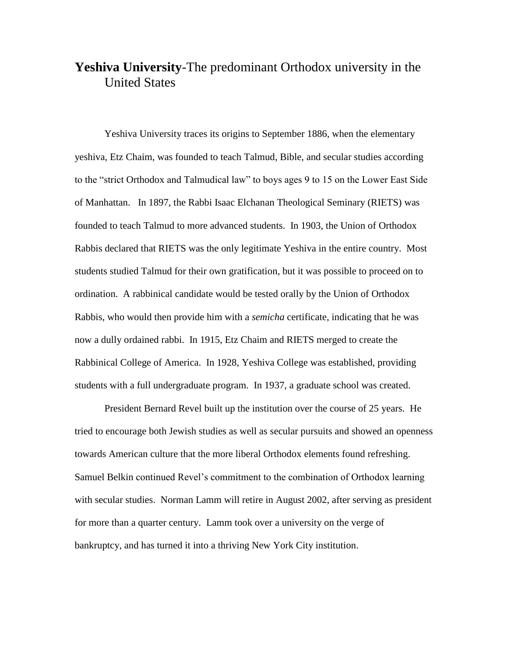## **Yeshiva University**-The predominant Orthodox university in the United States

Yeshiva University traces its origins to September 1886, when the elementary yeshiva, Etz Chaim, was founded to teach Talmud, Bible, and secular studies according to the "strict Orthodox and Talmudical law" to boys ages 9 to 15 on the Lower East Side of Manhattan. In 1897, the Rabbi Isaac Elchanan Theological Seminary (RIETS) was founded to teach Talmud to more advanced students. In 1903, the Union of Orthodox Rabbis declared that RIETS was the only legitimate Yeshiva in the entire country. Most students studied Talmud for their own gratification, but it was possible to proceed on to ordination. A rabbinical candidate would be tested orally by the Union of Orthodox Rabbis, who would then provide him with a *semicha* certificate, indicating that he was now a dully ordained rabbi. In 1915, Etz Chaim and RIETS merged to create the Rabbinical College of America. In 1928, Yeshiva College was established, providing students with a full undergraduate program. In 1937, a graduate school was created.

President Bernard Revel built up the institution over the course of 25 years. He tried to encourage both Jewish studies as well as secular pursuits and showed an openness towards American culture that the more liberal Orthodox elements found refreshing. Samuel Belkin continued Revel's commitment to the combination of Orthodox learning with secular studies. Norman Lamm will retire in August 2002, after serving as president for more than a quarter century. Lamm took over a university on the verge of bankruptcy, and has turned it into a thriving New York City institution.